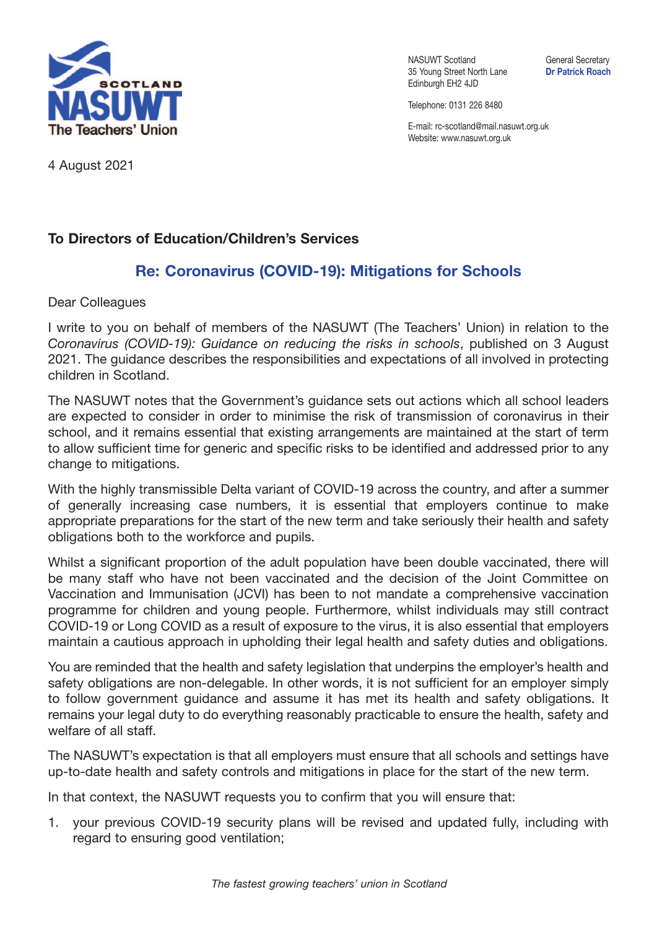

NASUWT Scotland General Secretary 35 Young Street North Lane **Dr Patrick Roach** Edinburgh EH2 4JD

Telephone: 0131 226 8480

E-mail: rc-scotland@mail.nasuwt.org.uk Website: www.nasuwt.org.uk

4 August 2021

## **To Directors of Education/Children's Services**

## **Re: Coronavirus (COVID-19): Mitigations for Schools**

Dear Colleagues

I write to you on behalf of members of the NASUWT (The Teachers' Union) in relation to the *Coronavirus (COVID-19): Guidance on reducing the risks in schools*, published on 3 August 2021. The guidance describes the responsibilities and expectations of all involved in protecting children in Scotland.

The NASUWT notes that the Government's guidance sets out actions which all school leaders are expected to consider in order to minimise the risk of transmission of coronavirus in their school, and it remains essential that existing arrangements are maintained at the start of term to allow sufficient time for generic and specific risks to be identified and addressed prior to any change to mitigations.

With the highly transmissible Delta variant of COVID-19 across the country, and after a summer of generally increasing case numbers, it is essential that employers continue to make appropriate preparations for the start of the new term and take seriously their health and safety obligations both to the workforce and pupils.

Whilst a significant proportion of the adult population have been double vaccinated, there will be many staff who have not been vaccinated and the decision of the Joint Committee on Vaccination and Immunisation (JCVI) has been to not mandate a comprehensive vaccination programme for children and young people. Furthermore, whilst individuals may still contract COVID-19 or Long COVID as a result of exposure to the virus, it is also essential that employers maintain a cautious approach in upholding their legal health and safety duties and obligations.

You are reminded that the health and safety legislation that underpins the employer's health and safety obligations are non-delegable. In other words, it is not sufficient for an employer simply to follow government guidance and assume it has met its health and safety obligations. It remains your legal duty to do everything reasonably practicable to ensure the health, safety and welfare of all staff.

The NASUWT's expectation is that all employers must ensure that all schools and settings have up-to-date health and safety controls and mitigations in place for the start of the new term.

In that context, the NASUWT requests you to confirm that you will ensure that:

1. your previous COVID-19 security plans will be revised and updated fully, including with regard to ensuring good ventilation;